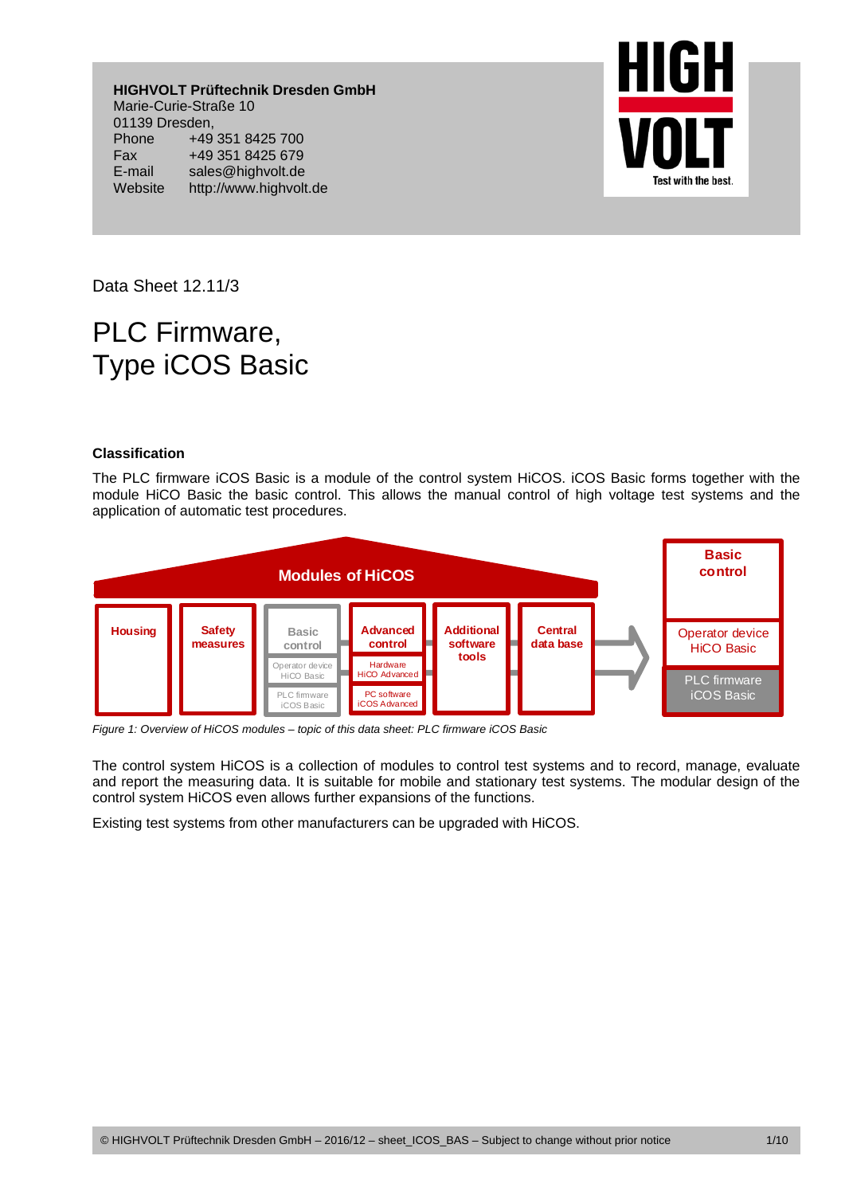**HIGHVOLT Prüftechnik Dresden GmbH**  Marie-Curie-Straße 10 01139 Dresden, Phone +49 351 8425 700 Fax +49 351 8425 679 E-mail sales@highvolt.de Website http://www.highvolt.de



Data Sheet 12.11/3

# PLC Firmware, Type iCOS Basic

## **Classification**

The PLC firmware iCOS Basic is a module of the control system HiCOS. iCOS Basic forms together with the module HiCO Basic the basic control. This allows the manual control of high voltage test systems and the application of automatic test procedures.



*Figure 1: Overview of HiCOS modules – topic of this data sheet: PLC firmware iCOS Basic* 

The control system HiCOS is a collection of modules to control test systems and to record, manage, evaluate and report the measuring data. It is suitable for mobile and stationary test systems. The modular design of the control system HiCOS even allows further expansions of the functions.

Existing test systems from other manufacturers can be upgraded with HiCOS.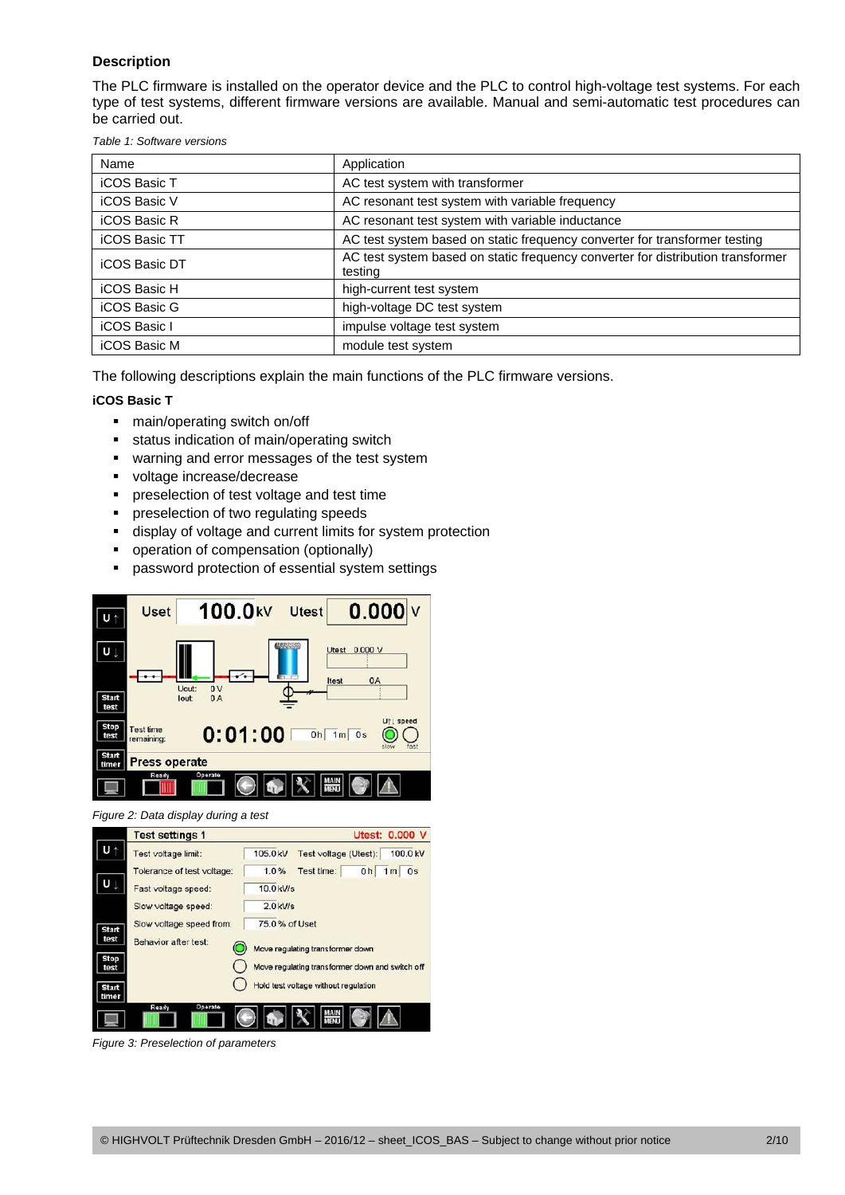# **Description**

The PLC firmware is installed on the operator device and the PLC to control high-voltage test systems. For each type of test systems, different firmware versions are available. Manual and semi-automatic test procedures can be carried out.

*Table 1: Software versions* 

| Name                 | Application                                                                                |
|----------------------|--------------------------------------------------------------------------------------------|
| <b>iCOS Basic T</b>  | AC test system with transformer                                                            |
| <b>iCOS Basic V</b>  | AC resonant test system with variable frequency                                            |
| <b>iCOS Basic R</b>  | AC resonant test system with variable inductance                                           |
| <b>iCOS Basic TT</b> | AC test system based on static frequency converter for transformer testing                 |
| <b>iCOS Basic DT</b> | AC test system based on static frequency converter for distribution transformer<br>testing |
| iCOS Basic H         | high-current test system                                                                   |
| iCOS Basic G         | high-voltage DC test system                                                                |
| <b>iCOS Basic I</b>  | impulse voltage test system                                                                |
| iCOS Basic M         | module test system                                                                         |

The following descriptions explain the main functions of the PLC firmware versions.

## **iCOS Basic T**

- main/operating switch on/off
- **status indication of main/operating switch**
- **\*** warning and error messages of the test system
- voltage increase/decrease
- **PED PRESE** preselection of test voltage and test time
- **P** preselection of two regulating speeds
- display of voltage and current limits for system protection
- **•** operation of compensation (optionally)
- **•** password protection of essential system settings



*Figure 2: Data display during a test* 



*Figure 3: Preselection of parameters*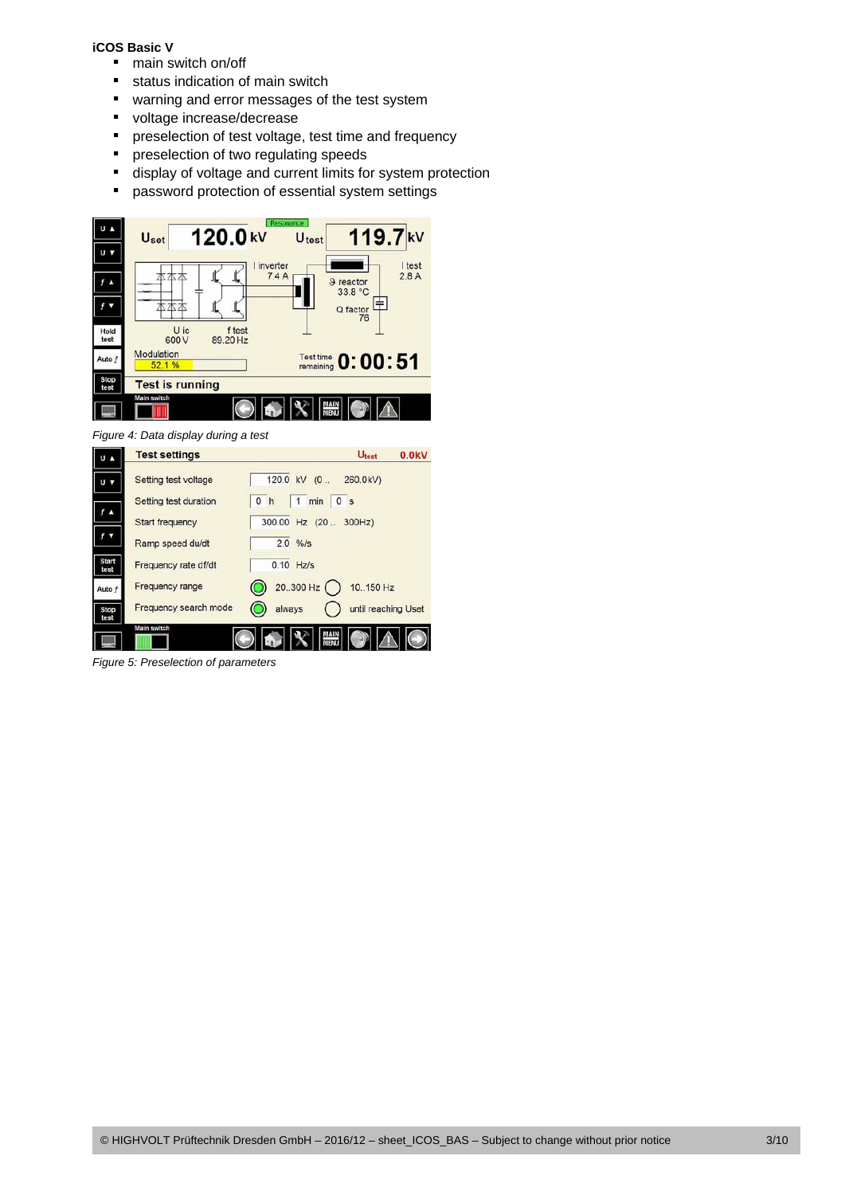## **iCOS Basic V**

- main switch on/off
- **status indication of main switch**
- **\*** warning and error messages of the test system
- voltage increase/decrease
- **P** preselection of test voltage, test time and frequency
- **P** preselection of two regulating speeds
- display of voltage and current limits for system protection
- **•** password protection of essential system settings



*Figure 4: Data display during a test* 



*Figure 5: Preselection of parameters*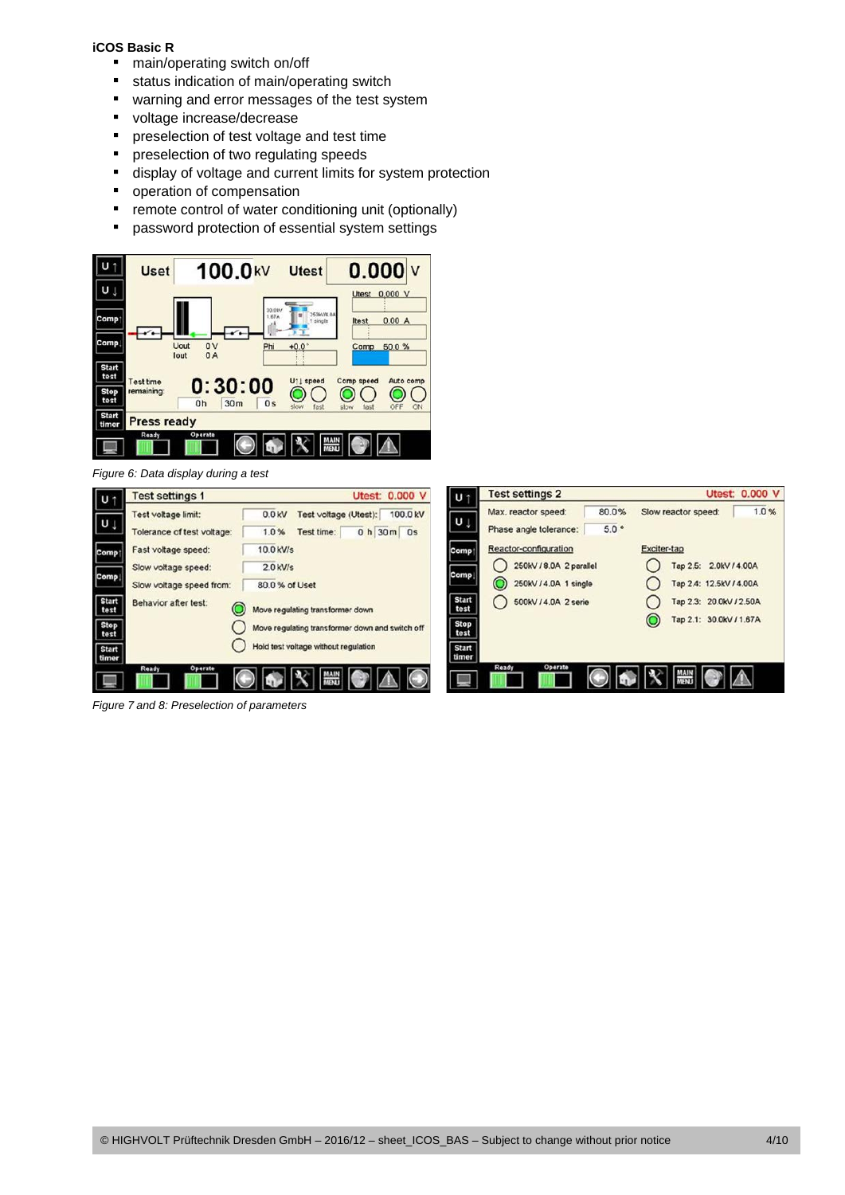## **iCOS Basic R**

- main/operating switch on/off
- **status indication of main/operating switch**
- **\*** warning and error messages of the test system
- voltage increase/decrease
- **PED PRESE** preselection of test voltage and test time
- **P** preselection of two regulating speeds
- display of voltage and current limits for system protection
- **•** operation of compensation
- **•** remote control of water conditioning unit (optionally)
- **P** password protection of essential system settings



*Figure 6: Data display during a test* 



*Figure 7 and 8: Preselection of parameters*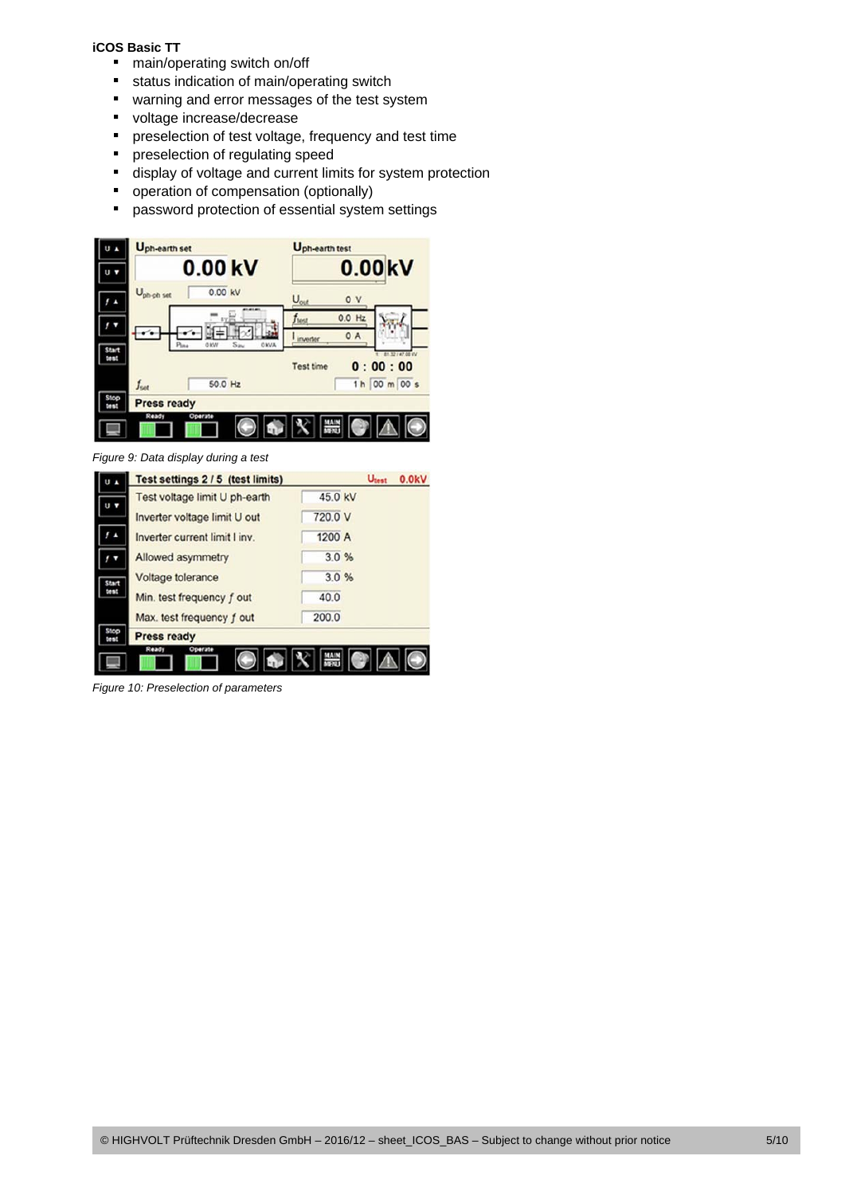## **iCOS Basic TT**

- main/operating switch on/off
- **status indication of main/operating switch**
- **\*** warning and error messages of the test system
- voltage increase/decrease
- **PEDEE FIGHTER IN STREET FIGHTER** preselection of test voltage, frequency and test time
- **Performally** preselection of regulating speed
- display of voltage and current limits for system protection
- **•** operation of compensation (optionally)
- **•** password protection of essential system settings



*Figure 9: Data display during a test* 

|       | Test settings 2 / 5 (test limits) |         | Utest | 0.0kV |
|-------|-----------------------------------|---------|-------|-------|
| U V   | Test voltage limit U ph-earth     | 45.0 kV |       |       |
|       | Inverter voltage limit U out      | 720.0 V |       |       |
|       | Inverter current limit I inv.     | 1200 A  |       |       |
|       | Allowed asymmetry                 | 3.0%    |       |       |
| Start | Voltage tolerance                 | 3.0%    |       |       |
| à.    | Min. test frequency f out         | 40.0    |       |       |
|       | Max. test frequency f out         | 200.0   |       |       |
|       | <b>Press ready</b>                |         |       |       |
|       | Ready<br>Operate                  |         |       |       |

*Figure 10: Preselection of parameters*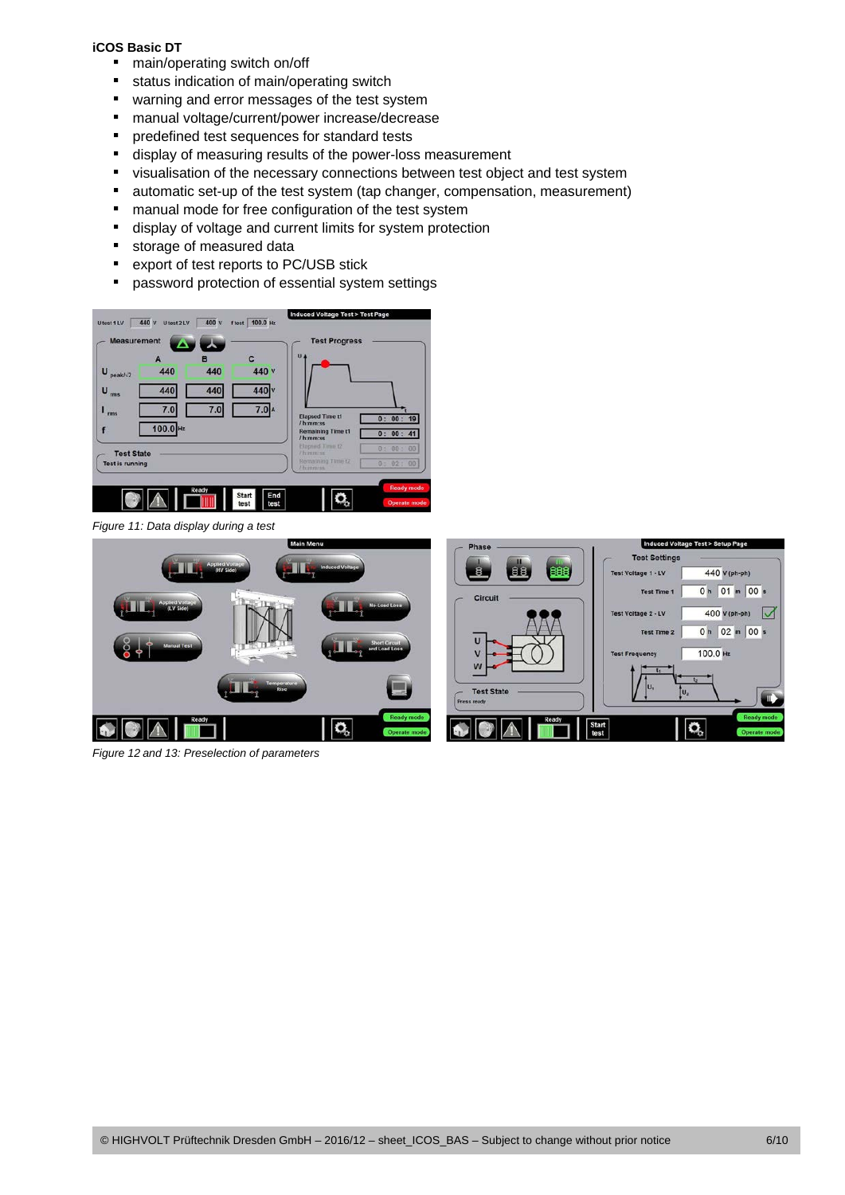## **iCOS Basic DT**

- main/operating switch on/off
- **status indication of main/operating switch**
- **\*** warning and error messages of the test system
- manual voltage/current/power increase/decrease
- **PEDEFER** predefined test sequences for standard tests
- display of measuring results of the power-loss measurement
- visualisation of the necessary connections between test object and test system
- automatic set-up of the test system (tap changer, compensation, measurement)
- **n** manual mode for free configuration of the test system
- display of voltage and current limits for system protection
- **storage of measured data**
- export of test reports to PC/USB stick
- **•** password protection of essential system settings



*Figure 11: Data display during a test* 



*Figure 12 and 13: Preselection of parameters*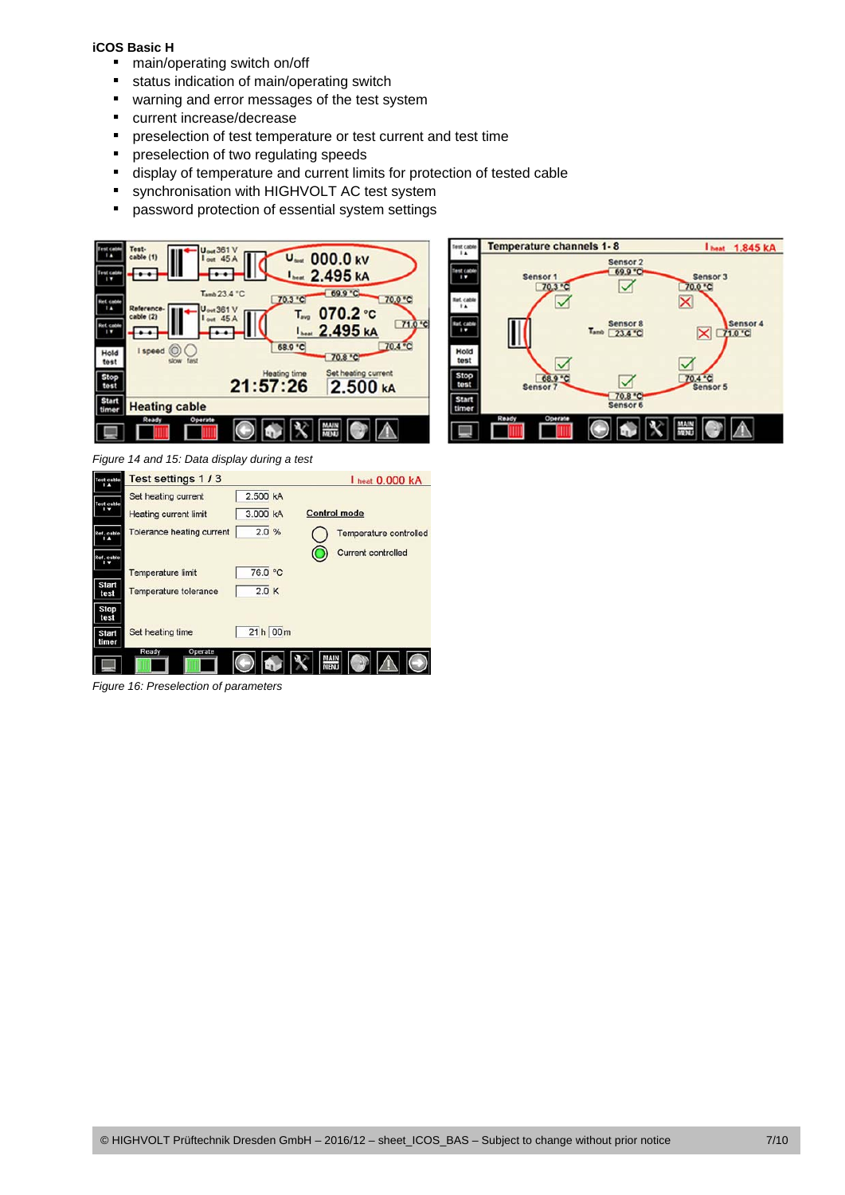## **iCOS Basic H**

- main/operating switch on/off
- **status indication of main/operating switch**
- **\*** warning and error messages of the test system
- **·** current increase/decrease
- **PEDEPERITE:** preselection of test temperature or test current and test time
- **P** preselection of two regulating speeds
- display of temperature and current limits for protection of tested cable
- **synchronisation with HIGHVOLT AC test system**
- **•** password protection of essential system settings





*Figure 14 and 15: Data display during a test* 

| <b>Test cable</b>    | Test settings 1/3                | I heat 0,000 kA |                           |  |
|----------------------|----------------------------------|-----------------|---------------------------|--|
| st cable             | Set heating current              | 2.500 kA        |                           |  |
|                      | <b>Heating current limit</b>     | 3.000 kA        | <b>Control mode</b>       |  |
| Ref. cable           | <b>Tolerance heating current</b> | 2.0%            | Temperature controlled    |  |
| Ref. cable           |                                  |                 | <b>Current controlled</b> |  |
|                      | Temperature limit                | 76.0 °C         |                           |  |
| <b>Start</b><br>test | Temperature tolerance            | 2.0K            |                           |  |
| <b>Stop</b><br>test  |                                  |                 |                           |  |
| Start<br>timer       | Set heating time                 | 21 h 00 m       |                           |  |
|                      | Ready<br>Operate                 |                 | MAIN<br>MENU              |  |

*Figure 16: Preselection of parameters*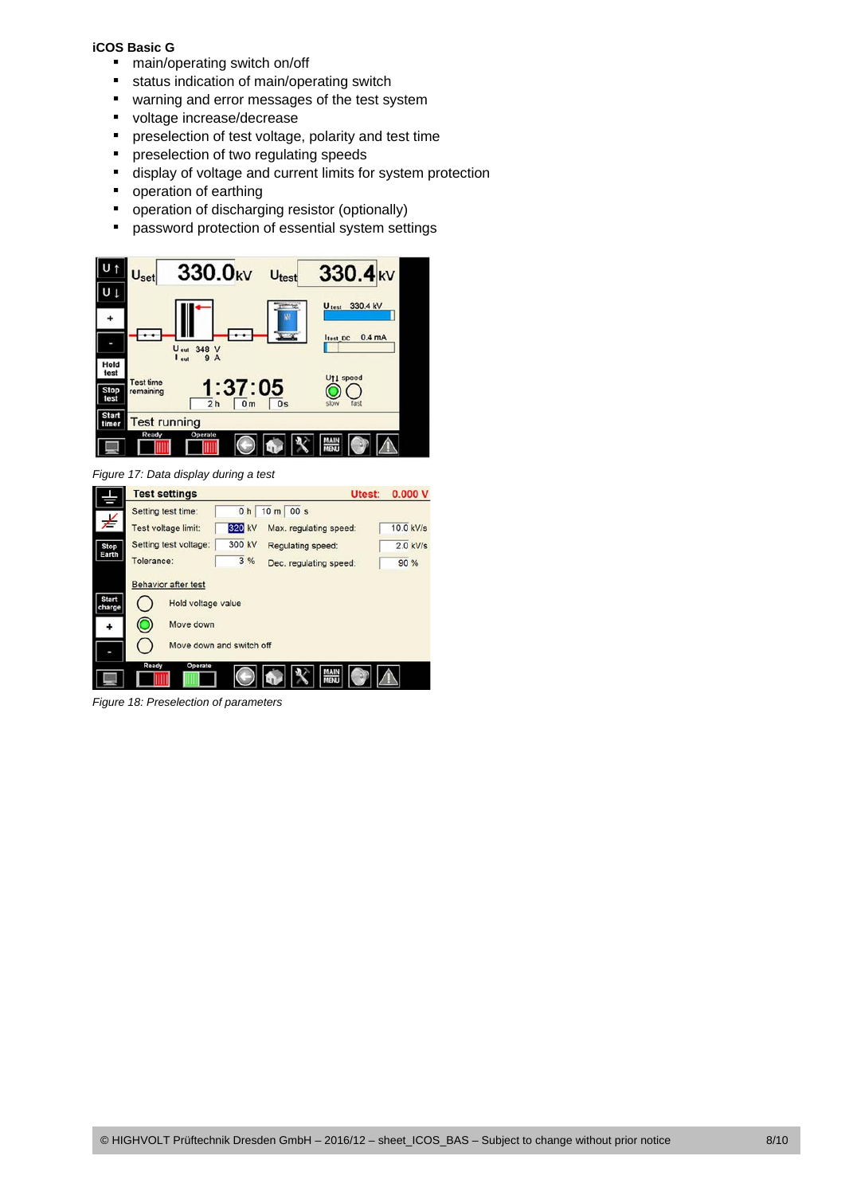#### **iCOS Basic G**

- main/operating switch on/off
- **status indication of main/operating switch**
- **\*** warning and error messages of the test system
- voltage increase/decrease
- **PEDEFER** preselection of test voltage, polarity and test time
- **P** preselection of two regulating speeds
- display of voltage and current limits for system protection
- **•** operation of earthing
- **•** operation of discharging resistor (optionally)
- **•** password protection of essential system settings



*Figure 17: Data display during a test* 



*Figure 18: Preselection of parameters*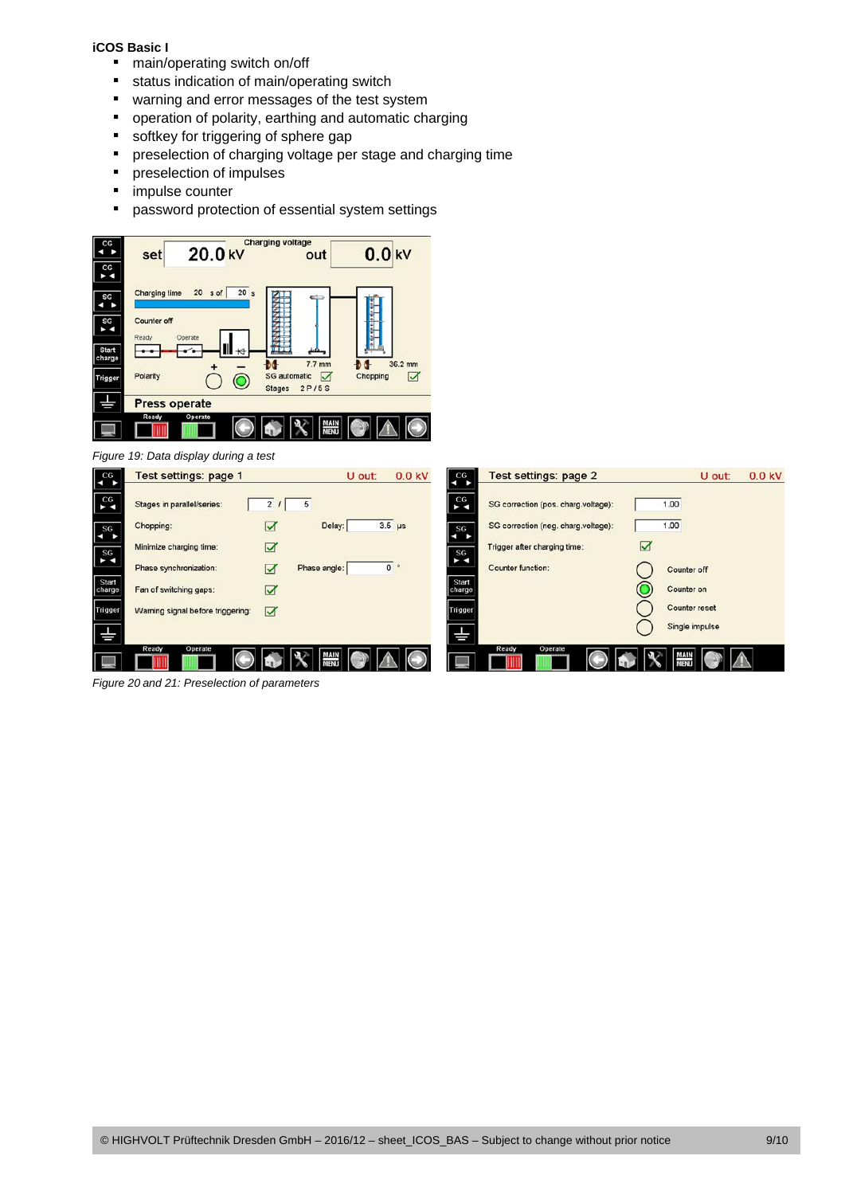#### **iCOS Basic I**

- main/operating switch on/off
- **status indication of main/operating switch**
- **\*** warning and error messages of the test system
- **•** operation of polarity, earthing and automatic charging
- softkey for triggering of sphere gap
- **•** preselection of charging voltage per stage and charging time
- **preselection of impulses**
- **·** impulse counter
- **•** password protection of essential system settings



*Figure 20 and 21: Preselection of parameters*